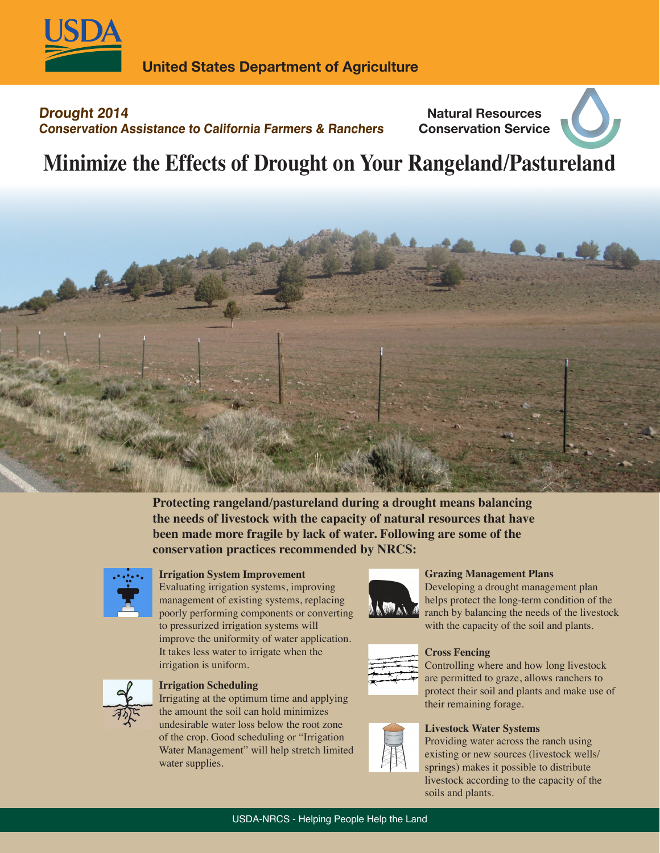

**Conservation Assistance to California Farmers & Ranchers**

# **Drought 2014**

# **Natural Resources Conservation Service**

# **Minimize the Effects of Drought on Your Rangeland/Pastureland**



**Protecting rangeland/pastureland during a drought means balancing the needs of livestock with the capacity of natural resources that have been made more fragile by lack of water. Following are some of the conservation practices recommended by NRCS:**



### **Irrigation System Improvement**

Evaluating irrigation systems, improving management of existing systems, replacing poorly performing components or converting to pressurized irrigation systems will improve the uniformity of water application. It takes less water to irrigate when the irrigation is uniform.



### **Irrigation Scheduling**

Irrigating at the optimum time and applying the amount the soil can hold minimizes undesirable water loss below the root zone of the crop. Good scheduling or "Irrigation Water Management" will help stretch limited water supplies.



### **Grazing Management Plans**

Developing a drought management plan helps protect the long-term condition of the ranch by balancing the needs of the livestock with the capacity of the soil and plants.



### **Cross Fencing**

Controlling where and how long livestock are permitted to graze, allows ranchers to protect their soil and plants and make use of their remaining forage.

#### **Livestock Water Systems**

Providing water across the ranch using existing or new sources (livestock wells/ springs) makes it possible to distribute livestock according to the capacity of the soils and plants.